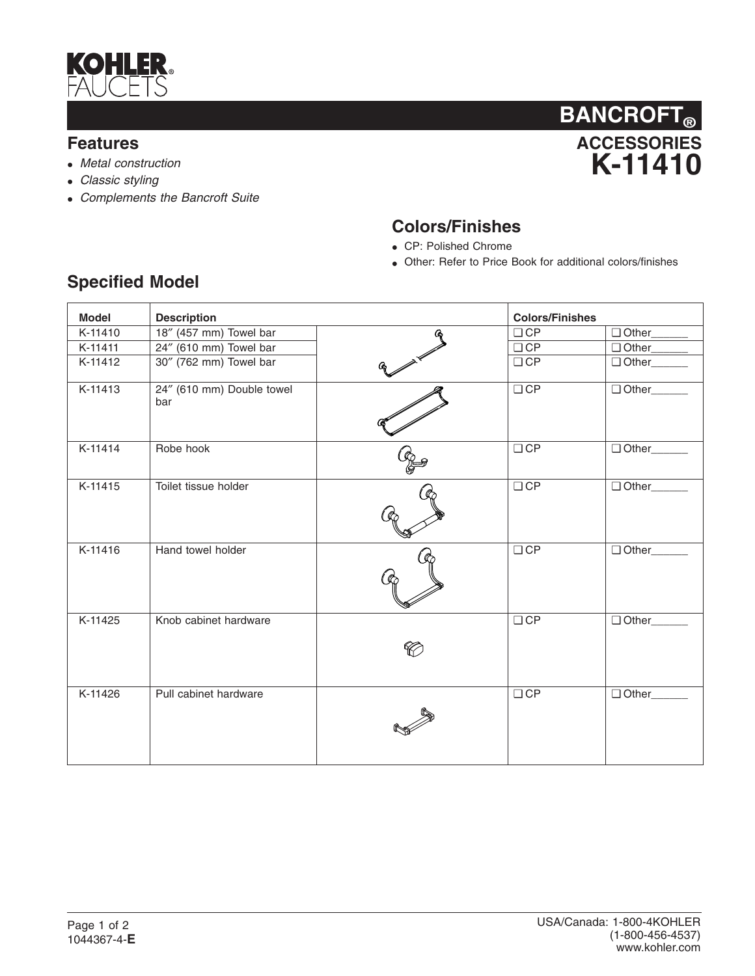

## **Features**

- *Metal construction*
- *Classic styling*
- *Complements the Bancroft Suite*



## **Colors/Finishes**

- CP: Polished Chrome
- Other: Refer to Price Book for additional colors/finishes

| <b>Model</b> | <b>Description</b>               |                                    | <b>Colors/Finishes</b> |                       |
|--------------|----------------------------------|------------------------------------|------------------------|-----------------------|
| K-11410      | 18" (457 mm) Towel bar           |                                    | $\Box$ CP              | Other_                |
| K-11411      | 24" (610 mm) Towel bar           |                                    | $\Box$ CP              | Other <sub>cond</sub> |
| K-11412      | 30" (762 mm) Towel bar           |                                    | $\Box$ CP              | Other____             |
| K-11413      | 24" (610 mm) Double towel<br>bar |                                    | $\Box$ CP              | □ Other______         |
| K-11414      | Robe hook                        | $\frac{\partial}{\partial \theta}$ | $\Box$ CP              | Other______           |
| K-11415      | Toilet tissue holder             |                                    | $\Box$ CP              | □ Other______         |
| K-11416      | Hand towel holder                |                                    | $\Box$ CP              | Other____             |
| K-11425      | Knob cabinet hardware            |                                    | $\Box$ CP              | Other____             |
| K-11426      | Pull cabinet hardware            |                                    | $\Box$ CP              | Other_                |

## **Specified Model**